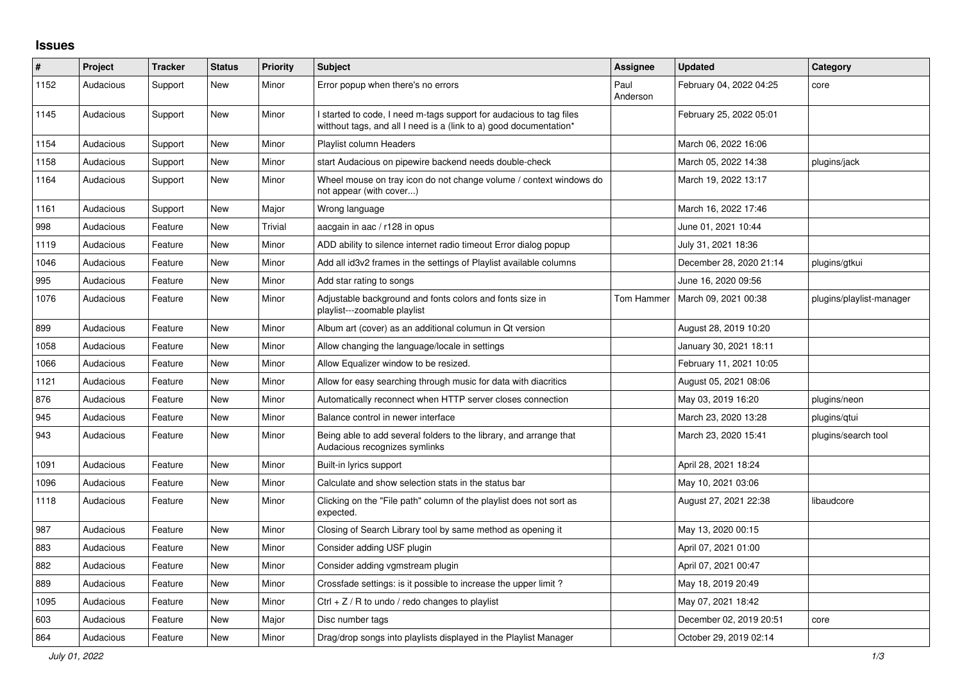## **Issues**

| $\#$ | <b>Project</b> | <b>Tracker</b> | <b>Status</b> | <b>Priority</b> | <b>Subject</b>                                                                                                                            | Assignee         | <b>Updated</b>          | Category                 |
|------|----------------|----------------|---------------|-----------------|-------------------------------------------------------------------------------------------------------------------------------------------|------------------|-------------------------|--------------------------|
| 1152 | Audacious      | Support        | <b>New</b>    | Minor           | Error popup when there's no errors                                                                                                        | Paul<br>Anderson | February 04, 2022 04:25 | core                     |
| 1145 | Audacious      | Support        | <b>New</b>    | Minor           | I started to code, I need m-tags support for audacious to tag files<br>witthout tags, and all I need is a (link to a) good documentation* |                  | February 25, 2022 05:01 |                          |
| 1154 | Audacious      | Support        | <b>New</b>    | Minor           | <b>Playlist column Headers</b>                                                                                                            |                  | March 06, 2022 16:06    |                          |
| 1158 | Audacious      | Support        | <b>New</b>    | Minor           | start Audacious on pipewire backend needs double-check                                                                                    |                  | March 05, 2022 14:38    | plugins/jack             |
| 1164 | Audacious      | Support        | <b>New</b>    | Minor           | Wheel mouse on tray icon do not change volume / context windows do<br>not appear (with cover)                                             |                  | March 19, 2022 13:17    |                          |
| 1161 | Audacious      | Support        | <b>New</b>    | Major           | Wrong language                                                                                                                            |                  | March 16, 2022 17:46    |                          |
| 998  | Audacious      | Feature        | New           | Trivial         | aacgain in aac / r128 in opus                                                                                                             |                  | June 01, 2021 10:44     |                          |
| 1119 | Audacious      | Feature        | <b>New</b>    | Minor           | ADD ability to silence internet radio timeout Error dialog popup                                                                          |                  | July 31, 2021 18:36     |                          |
| 1046 | Audacious      | Feature        | <b>New</b>    | Minor           | Add all id3v2 frames in the settings of Playlist available columns                                                                        |                  | December 28, 2020 21:14 | plugins/gtkui            |
| 995  | Audacious      | Feature        | <b>New</b>    | Minor           | Add star rating to songs                                                                                                                  |                  | June 16, 2020 09:56     |                          |
| 1076 | Audacious      | Feature        | <b>New</b>    | Minor           | Adjustable background and fonts colors and fonts size in<br>playlist---zoomable playlist                                                  | Tom Hammer       | March 09, 2021 00:38    | plugins/playlist-manager |
| 899  | Audacious      | Feature        | <b>New</b>    | Minor           | Album art (cover) as an additional columun in Qt version                                                                                  |                  | August 28, 2019 10:20   |                          |
| 1058 | Audacious      | Feature        | <b>New</b>    | Minor           | Allow changing the language/locale in settings                                                                                            |                  | January 30, 2021 18:11  |                          |
| 1066 | Audacious      | Feature        | New           | Minor           | Allow Equalizer window to be resized.                                                                                                     |                  | February 11, 2021 10:05 |                          |
| 1121 | Audacious      | Feature        | New           | Minor           | Allow for easy searching through music for data with diacritics                                                                           |                  | August 05, 2021 08:06   |                          |
| 876  | Audacious      | Feature        | <b>New</b>    | Minor           | Automatically reconnect when HTTP server closes connection                                                                                |                  | May 03, 2019 16:20      | plugins/neon             |
| 945  | Audacious      | Feature        | <b>New</b>    | Minor           | Balance control in newer interface                                                                                                        |                  | March 23, 2020 13:28    | plugins/qtui             |
| 943  | Audacious      | Feature        | <b>New</b>    | Minor           | Being able to add several folders to the library, and arrange that<br>Audacious recognizes symlinks                                       |                  | March 23, 2020 15:41    | plugins/search tool      |
| 1091 | Audacious      | Feature        | <b>New</b>    | Minor           | Built-in lyrics support                                                                                                                   |                  | April 28, 2021 18:24    |                          |
| 1096 | Audacious      | Feature        | <b>New</b>    | Minor           | Calculate and show selection stats in the status bar                                                                                      |                  | May 10, 2021 03:06      |                          |
| 1118 | Audacious      | Feature        | <b>New</b>    | Minor           | Clicking on the "File path" column of the playlist does not sort as<br>expected.                                                          |                  | August 27, 2021 22:38   | libaudcore               |
| 987  | Audacious      | Feature        | New           | Minor           | Closing of Search Library tool by same method as opening it                                                                               |                  | May 13, 2020 00:15      |                          |
| 883  | Audacious      | Feature        | <b>New</b>    | Minor           | Consider adding USF plugin                                                                                                                |                  | April 07, 2021 01:00    |                          |
| 882  | Audacious      | Feature        | <b>New</b>    | Minor           | Consider adding vgmstream plugin                                                                                                          |                  | April 07, 2021 00:47    |                          |
| 889  | Audacious      | Feature        | <b>New</b>    | Minor           | Crossfade settings: is it possible to increase the upper limit?                                                                           |                  | May 18, 2019 20:49      |                          |
| 1095 | Audacious      | Feature        | New           | Minor           | $Ctrl + Z / R$ to undo / redo changes to playlist                                                                                         |                  | May 07, 2021 18:42      |                          |
| 603  | Audacious      | Feature        | <b>New</b>    | Major           | Disc number tags                                                                                                                          |                  | December 02, 2019 20:51 | core                     |
| 864  | Audacious      | Feature        | New           | Minor           | Drag/drop songs into playlists displayed in the Playlist Manager                                                                          |                  | October 29, 2019 02:14  |                          |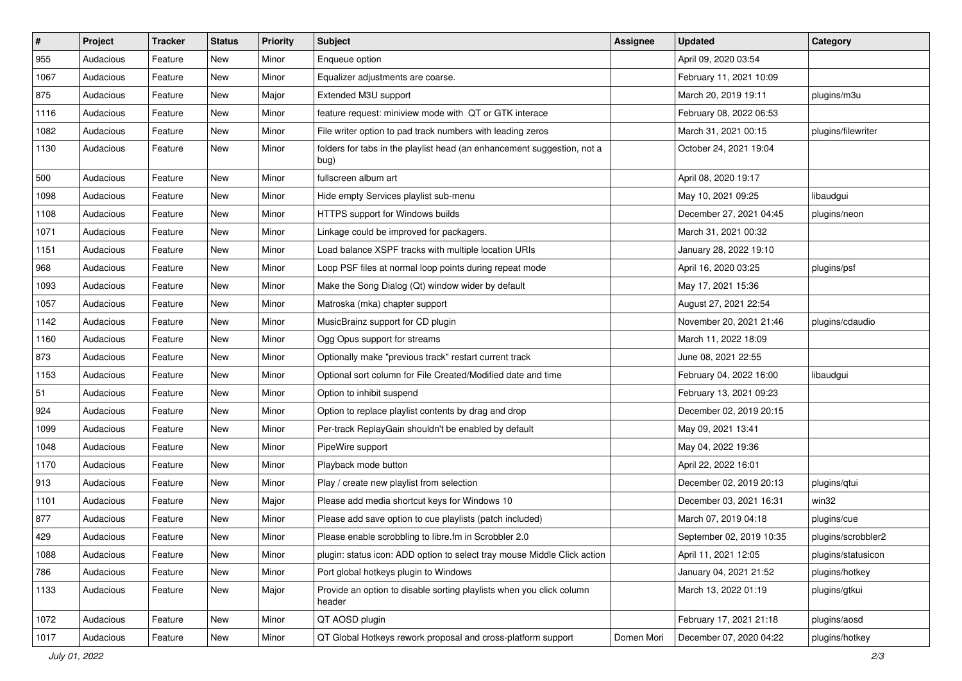| $\pmb{\#}$ | Project   | <b>Tracker</b> | <b>Status</b> | <b>Priority</b> | <b>Subject</b>                                                                  | <b>Assignee</b> | <b>Updated</b>           | Category           |
|------------|-----------|----------------|---------------|-----------------|---------------------------------------------------------------------------------|-----------------|--------------------------|--------------------|
| 955        | Audacious | Feature        | New           | Minor           | Enqueue option                                                                  |                 | April 09, 2020 03:54     |                    |
| 1067       | Audacious | Feature        | New           | Minor           | Equalizer adjustments are coarse.                                               |                 | February 11, 2021 10:09  |                    |
| 875        | Audacious | Feature        | New           | Major           | Extended M3U support                                                            |                 | March 20, 2019 19:11     | plugins/m3u        |
| 1116       | Audacious | Feature        | New           | Minor           | feature request: miniview mode with QT or GTK interace                          |                 | February 08, 2022 06:53  |                    |
| 1082       | Audacious | Feature        | New           | Minor           | File writer option to pad track numbers with leading zeros                      |                 | March 31, 2021 00:15     | plugins/filewriter |
| 1130       | Audacious | Feature        | New           | Minor           | folders for tabs in the playlist head (an enhancement suggestion, not a<br>bug) |                 | October 24, 2021 19:04   |                    |
| 500        | Audacious | Feature        | New           | Minor           | fullscreen album art                                                            |                 | April 08, 2020 19:17     |                    |
| 1098       | Audacious | Feature        | New           | Minor           | Hide empty Services playlist sub-menu                                           |                 | May 10, 2021 09:25       | libaudgui          |
| 1108       | Audacious | Feature        | New           | Minor           | HTTPS support for Windows builds                                                |                 | December 27, 2021 04:45  | plugins/neon       |
| 1071       | Audacious | Feature        | New           | Minor           | Linkage could be improved for packagers.                                        |                 | March 31, 2021 00:32     |                    |
| 1151       | Audacious | Feature        | New           | Minor           | Load balance XSPF tracks with multiple location URIs                            |                 | January 28, 2022 19:10   |                    |
| 968        | Audacious | Feature        | New           | Minor           | Loop PSF files at normal loop points during repeat mode                         |                 | April 16, 2020 03:25     | plugins/psf        |
| 1093       | Audacious | Feature        | New           | Minor           | Make the Song Dialog (Qt) window wider by default                               |                 | May 17, 2021 15:36       |                    |
| 1057       | Audacious | Feature        | New           | Minor           | Matroska (mka) chapter support                                                  |                 | August 27, 2021 22:54    |                    |
| 1142       | Audacious | Feature        | New           | Minor           | MusicBrainz support for CD plugin                                               |                 | November 20, 2021 21:46  | plugins/cdaudio    |
| 1160       | Audacious | Feature        | New           | Minor           | Ogg Opus support for streams                                                    |                 | March 11, 2022 18:09     |                    |
| 873        | Audacious | Feature        | New           | Minor           | Optionally make "previous track" restart current track                          |                 | June 08, 2021 22:55      |                    |
| 1153       | Audacious | Feature        | New           | Minor           | Optional sort column for File Created/Modified date and time                    |                 | February 04, 2022 16:00  | libaudgui          |
| 51         | Audacious | Feature        | New           | Minor           | Option to inhibit suspend                                                       |                 | February 13, 2021 09:23  |                    |
| 924        | Audacious | Feature        | New           | Minor           | Option to replace playlist contents by drag and drop                            |                 | December 02, 2019 20:15  |                    |
| 1099       | Audacious | Feature        | New           | Minor           | Per-track ReplayGain shouldn't be enabled by default                            |                 | May 09, 2021 13:41       |                    |
| 1048       | Audacious | Feature        | New           | Minor           | PipeWire support                                                                |                 | May 04, 2022 19:36       |                    |
| 1170       | Audacious | Feature        | New           | Minor           | Playback mode button                                                            |                 | April 22, 2022 16:01     |                    |
| 913        | Audacious | Feature        | New           | Minor           | Play / create new playlist from selection                                       |                 | December 02, 2019 20:13  | plugins/qtui       |
| 1101       | Audacious | Feature        | New           | Major           | Please add media shortcut keys for Windows 10                                   |                 | December 03, 2021 16:31  | win32              |
| 877        | Audacious | Feature        | New           | Minor           | Please add save option to cue playlists (patch included)                        |                 | March 07, 2019 04:18     | plugins/cue        |
| 429        | Audacious | Feature        | New           | Minor           | Please enable scrobbling to libre.fm in Scrobbler 2.0                           |                 | September 02, 2019 10:35 | plugins/scrobbler2 |
| 1088       | Audacious | Feature        | New           | Minor           | plugin: status icon: ADD option to select tray mouse Middle Click action        |                 | April 11, 2021 12:05     | plugins/statusicon |
| 786        | Audacious | Feature        | New           | Minor           | Port global hotkeys plugin to Windows                                           |                 | January 04, 2021 21:52   | plugins/hotkey     |
| 1133       | Audacious | Feature        | New           | Major           | Provide an option to disable sorting playlists when you click column<br>header  |                 | March 13, 2022 01:19     | plugins/gtkui      |
| 1072       | Audacious | Feature        | New           | Minor           | QT AOSD plugin                                                                  |                 | February 17, 2021 21:18  | plugins/aosd       |
| 1017       | Audacious | Feature        | New           | Minor           | QT Global Hotkeys rework proposal and cross-platform support                    | Domen Mori      | December 07, 2020 04:22  | plugins/hotkey     |